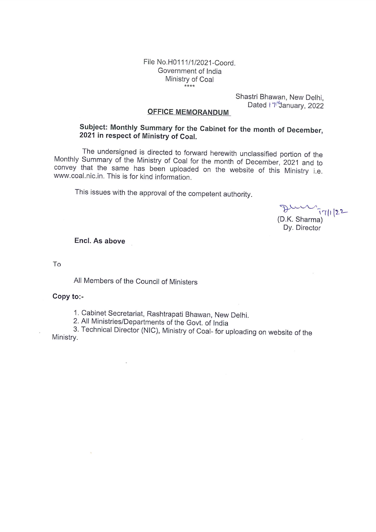File No.H0111/1/2021-Coord. Government of India Ministry of Coal  $***$ 

> Shastri Bhawan, New Delhi. Dated I 7<sup>+</sup>January, 2022

### **OFFICE MEMORANDUM**

## Subject: Monthly Summary for the Cabinet for the month of December, 2021 in respect of Ministry of Coal.

The undersigned is directed to forward herewith unclassified portion of the Monthly Summary of the Ministry of Coal for the month of December, 2021 and to convey that the same has been uploaded on the website of this Ministry i.e. www.coal.nic.in. This is for kind information.

This issues with the approval of the competent authority.

 $77||22$ (D.K. Sharma) Dy. Director

Encl. As above

To

All Members of the Council of Ministers

 $\ddot{\phantom{a}}$ 

#### Copy to:-

1. Cabinet Secretariat, Rashtrapati Bhawan, New Delhi.

2. All Ministries/Departments of the Govt. of India

3. Technical Director (NIC), Ministry of Coal- for uploading on website of the Ministry.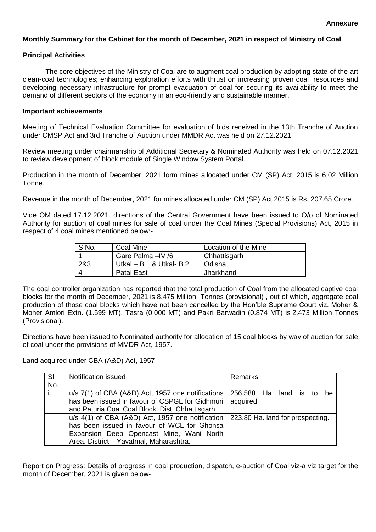#### **Monthly Summary for the Cabinet for the month of December, 2021 in respect of Ministry of Coal**

#### **Principal Activities**

The core objectives of the Ministry of Coal are to augment coal production by adopting state-of-the-art clean-coal technologies; enhancing exploration efforts with thrust on increasing proven coal resources and developing necessary infrastructure for prompt evacuation of coal for securing its availability to meet the demand of different sectors of the economy in an eco-friendly and sustainable manner.

#### **Important achievements**

Meeting of Technical Evaluation Committee for evaluation of bids received in the 13th Tranche of Auction under CMSP Act and 3rd Tranche of Auction under MMDR Act was held on 27.12.2021

Review meeting under chairmanship of Additional Secretary & Nominated Authority was held on 07.12.2021 to review development of block module of Single Window System Portal.

Production in the month of December, 2021 form mines allocated under CM (SP) Act, 2015 is 6.02 Million Tonne.

Revenue in the month of December, 2021 for mines allocated under CM (SP) Act 2015 is Rs. 207.65 Crore.

Vide OM dated 17.12.2021, directions of the Central Government have been issued to O/o of Nominated Authority for auction of coal mines for sale of coal under the Coal Mines (Special Provisions) Act, 2015 in respect of 4 coal mines mentioned below:-

| S.No. | Coal Mine                  | Location of the Mine |
|-------|----------------------------|----------------------|
|       | Gare Palma -IV /6          | Chhattisgarh         |
| 2&3   | Utkal $-$ B 1 & Utkal- B 2 | Odisha               |
|       | <b>Patal East</b>          | Jharkhand            |

The coal controller organization has reported that the total production of Coal from the allocated captive coal blocks for the month of December, 2021 is 8.475 Million Tonnes (provisional) , out of which, aggregate coal production of those coal blocks which have not been cancelled by the Hon'ble Supreme Court viz. Moher & Moher Amlori Extn. (1.599 MT), Tasra (0.000 MT) and Pakri Barwadih (0.874 MT) is 2.473 Million Tonnes (Provisional).

Directions have been issued to Nominated authority for allocation of 15 coal blocks by way of auction for sale of coal under the provisions of MMDR Act, 1957.

Land acquired under CBA (A&D) Act, 1957

| SI. | Notification issued                                                                 | Remarks   |
|-----|-------------------------------------------------------------------------------------|-----------|
| No. |                                                                                     |           |
| ri. | $u/s$ 7(1) of CBA (A&D) Act, 1957 one notifications $\vert$ 256.588 Ha land is to   | - he      |
|     | has been issued in favour of CSPGL for Gidhmuri                                     | acquired. |
|     | and Paturia Coal Coal Block, Dist. Chhattisgarh                                     |           |
|     | $u/s$ 4(1) of CBA (A&D) Act, 1957 one notification 223.80 Ha. land for prospecting. |           |
|     | has been issued in favour of WCL for Ghonsa                                         |           |
|     | Expansion Deep Opencast Mine, Wani North                                            |           |
|     | Area. District - Yavatmal, Maharashtra.                                             |           |

Report on Progress: Details of progress in coal production, dispatch, e-auction of Coal viz-a viz target for the month of December, 2021 is given below-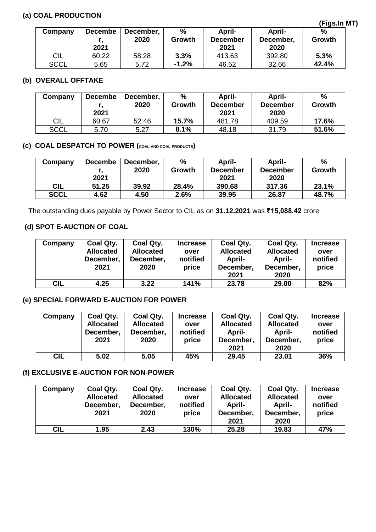## **(a) COAL PRODUCTION**

|             |                        |                   |             |                                          |                                    | ,,,,,,,,,   |
|-------------|------------------------|-------------------|-------------|------------------------------------------|------------------------------------|-------------|
| Company     | <b>Decembe</b><br>2021 | December,<br>2020 | %<br>Growth | <b>April-</b><br><b>December</b><br>2021 | <b>April-</b><br>December,<br>2020 | %<br>Growth |
| <b>CIL</b>  | 60.22                  | 58.28             | 3.3%        | 413.63                                   | 392.80                             | 5.3%        |
| <b>SCCL</b> | 5.65                   | 5.72              | $-1.2%$     | 46.52                                    | 32.66                              | 42.4%       |

### **(b) OVERALL OFFTAKE**

| Company     | <b>Decembe</b><br>2021 | December,<br>2020 | %<br>Growth | April-<br><b>December</b><br>2021 | April-<br><b>December</b><br>2020 | %<br>Growth |
|-------------|------------------------|-------------------|-------------|-----------------------------------|-----------------------------------|-------------|
| <b>CIL</b>  | 60.67                  | 52.46             | 15.7%       | 481.78                            | 409.59                            | 17.6%       |
| <b>SCCL</b> | 5.70                   | 5.27              | 8.1%        | 48.18                             | 31.79                             | 51.6%       |

# **(c) COAL DESPATCH TO POWER (COAL AND COAL PRODUCTS)**

| Company     | <b>Decembe</b> | December, | %      | April-          | April-          | $\frac{9}{6}$ |
|-------------|----------------|-----------|--------|-----------------|-----------------|---------------|
|             |                | 2020      | Growth | <b>December</b> | <b>December</b> | Growth        |
|             | 2021           |           |        | 2021            | 2020            |               |
| <b>CIL</b>  | 51.25          | 39.92     | 28.4%  | 390.68          | 317.36          | 23.1%         |
| <b>SCCL</b> | 4.62           | 4.50      | 2.6%   | 39.95           | 26.87           | 48.7%         |

The outstanding dues payable by Power Sector to CIL as on **31.12.2021** was **₹15,088.42** crore

## **(d) SPOT E-AUCTION OF COAL**

| Company    | Coal Qty.<br><b>Allocated</b><br>December,<br>2021 | Coal Qty.<br><b>Allocated</b><br>December,<br>2020 | <b>Increase</b><br>over<br>notified<br>price | Coal Qty.<br><b>Allocated</b><br>April-<br>December,<br>2021 | <b>Coal Qty.</b><br><b>Allocated</b><br>April-<br>December,<br>2020 | <b>Increase</b><br>over<br>notified<br>price |
|------------|----------------------------------------------------|----------------------------------------------------|----------------------------------------------|--------------------------------------------------------------|---------------------------------------------------------------------|----------------------------------------------|
| <b>CIL</b> | 4.25                                               | 3.22                                               | 141%                                         | 23.78                                                        | 29.00                                                               | 82%                                          |

### **(e) SPECIAL FORWARD E-AUCTION FOR POWER**

| Company    | Coal Qty.<br><b>Allocated</b><br>December,<br>2021 | Coal Qty.<br><b>Allocated</b><br>December,<br>2020 | <b>Increase</b><br>over<br>notified<br>price | Coal Qty.<br><b>Allocated</b><br>April-<br>December,<br>2021 | <b>Coal Qty.</b><br><b>Allocated</b><br>April-<br>December,<br>2020 | <b>Increase</b><br>over<br>notified<br>price |
|------------|----------------------------------------------------|----------------------------------------------------|----------------------------------------------|--------------------------------------------------------------|---------------------------------------------------------------------|----------------------------------------------|
| <b>CIL</b> | 5.02                                               | 5.05                                               | 45%                                          | 29.45                                                        | 23.01                                                               | 36%                                          |

### **(f) EXCLUSIVE E-AUCTION FOR NON-POWER**

| Company    | Coal Qty.<br><b>Allocated</b><br>December,<br>2021 | Coal Qty.<br><b>Allocated</b><br>December,<br>2020 | <b>Increase</b><br>over<br>notified<br>price | Coal Qty.<br><b>Allocated</b><br>April-<br>December,<br>2021 | Coal Qty.<br><b>Allocated</b><br>April-<br>December,<br>2020 | <b>Increase</b><br>over<br>notified<br>price |
|------------|----------------------------------------------------|----------------------------------------------------|----------------------------------------------|--------------------------------------------------------------|--------------------------------------------------------------|----------------------------------------------|
| <b>CIL</b> | 1.95                                               | 2.43                                               | 130%                                         | 25.28                                                        | 19.83                                                        | 47%                                          |

**(Figs.In MT)**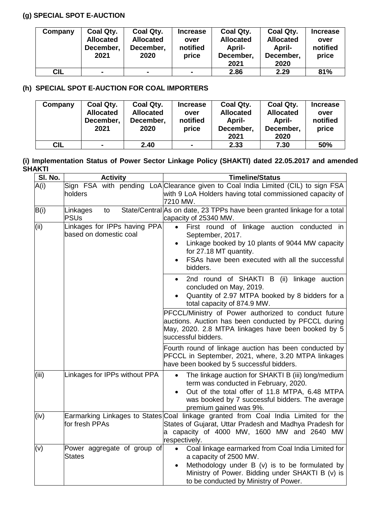## **(g) SPECIAL SPOT E-AUCTION**

| Company | Coal Qty.<br><b>Allocated</b><br>December,<br>2021 | Coal Qty.<br><b>Allocated</b><br>December,<br>2020 | <b>Increase</b><br>over<br>notified<br>price | Coal Qty.<br><b>Allocated</b><br>April-<br>December,<br>2021 | Coal Qty.<br><b>Allocated</b><br>April-<br>December.<br>2020 | <b>Increase</b><br>over<br>notified<br>price |
|---------|----------------------------------------------------|----------------------------------------------------|----------------------------------------------|--------------------------------------------------------------|--------------------------------------------------------------|----------------------------------------------|
| CIL     |                                                    | $\blacksquare$                                     | $\blacksquare$                               | 2.86                                                         | 2.29                                                         | 81%                                          |

## **(h) SPECIAL SPOT E-AUCTION FOR COAL IMPORTERS**

| Company    | Coal Qty.<br><b>Allocated</b><br>December,<br>2021 | Coal Qty.<br><b>Allocated</b><br>December,<br>2020 | <b>Increase</b><br>over<br>notified<br>price | Coal Qty.<br><b>Allocated</b><br>April-<br>December,<br>2021 | Coal Qty.<br><b>Allocated</b><br><b>April-</b><br>December,<br>2020 | <b>Increase</b><br>over<br>notified<br>price |
|------------|----------------------------------------------------|----------------------------------------------------|----------------------------------------------|--------------------------------------------------------------|---------------------------------------------------------------------|----------------------------------------------|
|            |                                                    |                                                    |                                              |                                                              |                                                                     |                                              |
| <b>CIL</b> |                                                    | 2.40                                               | $\blacksquare$                               | 2.33                                                         | 7.30                                                                | 50%                                          |

### **(i) Implementation Status of Power Sector Linkage Policy (SHAKTI) dated 22.05.2017 and amended SHAKTI**

| SI. No. | <b>Activity</b>                                        | <b>Timeline/Status</b>                                                                                                                                                                                                                                |
|---------|--------------------------------------------------------|-------------------------------------------------------------------------------------------------------------------------------------------------------------------------------------------------------------------------------------------------------|
| A(i)    | holders                                                | Sign FSA with pending LoA Clearance given to Coal India Limited (CIL) to sign FSA<br>with 9 LoA Holders having total commissioned capacity of<br>7210 MW.                                                                                             |
| B(i)    | Linkages<br>to<br><b>PSUs</b>                          | State/Central As on date, 23 TPPs have been granted linkage for a total<br>capacity of 25340 MW.                                                                                                                                                      |
| (ii)    | Linkages for IPPs having PPA<br>based on domestic coal | First round of linkage auction conducted in<br>September, 2017.<br>Linkage booked by 10 plants of 9044 MW capacity<br>for 27.18 MT quantity.<br>FSAs have been executed with all the successful<br>bidders.                                           |
|         |                                                        | 2nd round of SHAKTI B (ii) linkage auction<br>$\bullet$<br>concluded on May, 2019.<br>Quantity of 2.97 MTPA booked by 8 bidders for a<br>total capacity of 874.9 MW.                                                                                  |
|         |                                                        | PFCCL/Ministry of Power authorized to conduct future<br>auctions. Auction has been conducted by PFCCL during<br>May, 2020. 2.8 MTPA linkages have been booked by 5<br>successful bidders.                                                             |
|         |                                                        | Fourth round of linkage auction has been conducted by<br>PFCCL in September, 2021, where, 3.20 MTPA linkages<br>have been booked by 5 successful bidders.                                                                                             |
| (iii)   | Linkages for IPPs without PPA                          | The linkage auction for SHAKTI B (iii) long/medium<br>$\bullet$<br>term was conducted in February, 2020.<br>Out of the total offer of 11.8 MTPA, 6.48 MTPA<br>$\bullet$<br>was booked by 7 successful bidders. The average<br>premium gained was 9%.  |
| (iv)    | for fresh PPAs                                         | Earmarking Linkages to States Coal linkage granted from Coal India Limited for the<br>States of Gujarat, Uttar Pradesh and Madhya Pradesh for<br>a capacity of 4000 MW, 1600 MW and 2640 MW<br>respectively.                                          |
| (v)     | Power aggregate of group of<br><b>States</b>           | Coal linkage earmarked from Coal India Limited for<br>$\bullet$<br>a capacity of 2500 MW.<br>Methodology under B (v) is to be formulated by<br>$\bullet$<br>Ministry of Power. Bidding under SHAKTI B (v) is<br>to be conducted by Ministry of Power. |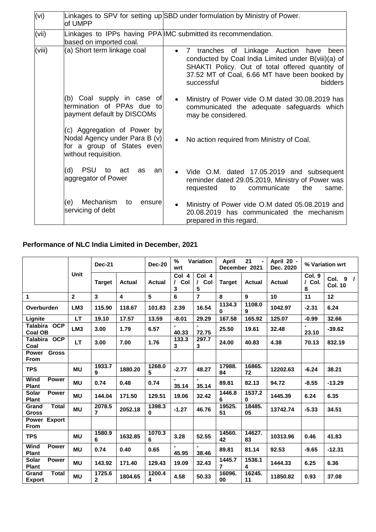| (vi)   | lof UMPP                                                                                                           | Linkages to SPV for setting up SBD under formulation by Ministry of Power.                                                                                                                                                                         |
|--------|--------------------------------------------------------------------------------------------------------------------|----------------------------------------------------------------------------------------------------------------------------------------------------------------------------------------------------------------------------------------------------|
| (vii)  | based on imported coal.                                                                                            | Linkages to IPPs having PPA IMC submitted its recommendation.                                                                                                                                                                                      |
| (viii) | (a) Short term linkage coal                                                                                        | 7 tranches of Linkage Auction have<br>been<br>$\bullet$<br>conducted by Coal India Limited under B(viii)(a) of<br>SHAKTI Policy. Out of total offered quantity of<br>37.52 MT of Coal, 6.66 MT have been booked by<br>successful<br><b>bidders</b> |
|        | (b) Coal supply in case of<br>termination of PPAs due to<br>payment default by DISCOMs                             | Ministry of Power vide O.M dated 30.08.2019 has<br>$\bullet$<br>communicated the adequate safeguards which<br>may be considered.                                                                                                                   |
|        | (c) Aggregation of Power by<br>Nodal Agency under Para B (v)<br>for a group of States even<br>without requisition. | No action required from Ministry of Coal.<br>$\bullet$                                                                                                                                                                                             |
|        | (d)<br><b>PSU</b><br>to<br>act<br>as<br>an<br>aggregator of Power                                                  | Vide O.M. dated 17.05.2019 and subsequent<br>$\bullet$<br>reminder dated 29.05.2019, Ministry of Power was<br>communicate<br>requested<br>the<br>to<br>same.                                                                                       |
|        | Mechanism<br>(e)<br>to<br>ensure<br>servicing of debt                                                              | Ministry of Power vide O.M dated 05.08.2019 and<br>$\bullet$<br>20.08.2019 has communicated the mechanism<br>prepared in this regard.                                                                                                              |

## **Performance of NLC India Limited in December, 2021**

|                                                 | <b>Unit</b>     | <b>Dec-21</b>            |         | <b>Dec-20</b>      | $\frac{9}{6}$<br>Variation<br>wrt |                               | 21<br><b>April</b><br>December 2021 |                    | April 20 -<br>Dec. 2020 | % Variation wrt       |                            |
|-------------------------------------------------|-----------------|--------------------------|---------|--------------------|-----------------------------------|-------------------------------|-------------------------------------|--------------------|-------------------------|-----------------------|----------------------------|
|                                                 |                 | <b>Target</b>            | Actual  | Actual             | Col 4<br>Col<br>$\prime$<br>3     | Col 4<br>$\prime$<br>Col<br>5 | <b>Target</b>                       | Actual             | Actual                  | Col. 9<br>/ Col.<br>8 | Col. 9 /<br><b>Col. 10</b> |
| 1.                                              | $\overline{2}$  | $\mathbf{3}$             | 4       | 5                  | 6                                 | $\overline{7}$                | 8                                   | 9                  | 10                      | 11                    | 12                         |
| Overburden                                      | LM <sub>3</sub> | 115.90                   | 118.67  | 101.83             | 2.39                              | 16.54                         | 1134.3<br>0                         | 1108.0<br>9        | 1042.97                 | $-2.31$               | 6.24                       |
| Lignite                                         | <b>LT</b>       | 19.10                    | 17.57   | 13.59              | $-8.01$                           | 29.29                         | 167.58                              | 165.92             | 125.07                  | $-0.99$               | 32.66                      |
| <b>OCP</b><br><b>Talabira</b><br><b>Coal OB</b> | LM <sub>3</sub> | 3.00                     | 1.79    | 6.57               | 40.33                             | 72.75                         | 25.50                               | 19.61              | 32.48                   | 23.10                 | $-39.62$                   |
| Talabira OCP<br>Coal                            | LT              | 3.00                     | 7.00    | 1.76               | 133.3<br>3                        | 297.7<br>3                    | 24.00                               | 40.83              | 4.38                    | 70.13                 | 832.19                     |
| <b>Gross</b><br><b>Power</b><br><b>From</b>     |                 |                          |         |                    |                                   |                               |                                     |                    |                         |                       |                            |
| <b>TPS</b>                                      | <b>MU</b>       | 1933.7<br>9              | 1880.20 | 1268.0<br>5        | $-2.77$                           | 48.27                         | 17988.<br>84                        | 16865.<br>72       | 12202.63                | $-6.24$               | 38.21                      |
| Wind<br><b>Power</b><br><b>Plant</b>            | <b>MU</b>       | 0.74                     | 0.48    | 0.74               | $\blacksquare$<br>35.14           | 35.14                         | 89.81                               | 82.13              | 94.72                   | $-8.55$               | $-13.29$                   |
| <b>Solar</b><br><b>Power</b><br><b>Plant</b>    | <b>MU</b>       | 144.04                   | 171.50  | 129.51             | 19.06                             | 32.42                         | 1446.8<br>6                         | 1537.2<br>$\bf{0}$ | 1445.39                 | 6.24                  | 6.35                       |
| <b>Total</b><br>Grand<br><b>Gross</b>           | <b>MU</b>       | 2078.5<br>$\overline{7}$ | 2052.18 | 1398.3<br>$\bf{0}$ | $-1.27$                           | 46.76                         | 19525.<br>51                        | 18485.<br>05       | 13742.74                | $-5.33$               | 34.51                      |
| Power Export<br><b>From</b>                     |                 |                          |         |                    |                                   |                               |                                     |                    |                         |                       |                            |
| <b>TPS</b>                                      | <b>MU</b>       | 1580.9<br>6              | 1632.85 | 1070.3<br>6        | 3.28                              | 52.55                         | 14560.<br>42                        | 14627.<br>83       | 10313.96                | 0.46                  | 41.83                      |
| Wind<br><b>Power</b><br><b>Plant</b>            | <b>MU</b>       | 0.74                     | 0.40    | 0.65               | $\blacksquare$<br>45.95           | 38.46                         | 89.81                               | 81.14              | 92.53                   | $-9.65$               | $-12.31$                   |
| <b>Solar</b><br><b>Power</b><br><b>Plant</b>    | <b>MU</b>       | 143.92                   | 171.40  | 129.43             | 19.09                             | 32.43                         | 1445.7<br>$\overline{ }$            | 1536.1<br>4        | 1444.33                 | 6.25                  | 6.36                       |
| <b>Total</b><br>Grand<br><b>Export</b>          | <b>MU</b>       | 1725.6<br>$\overline{2}$ | 1804.65 | 1200.4<br>4        | 4.58                              | 50.33                         | 16096.<br>00                        | 16245.<br>11       | 11850.82                | 0.93                  | 37.08                      |